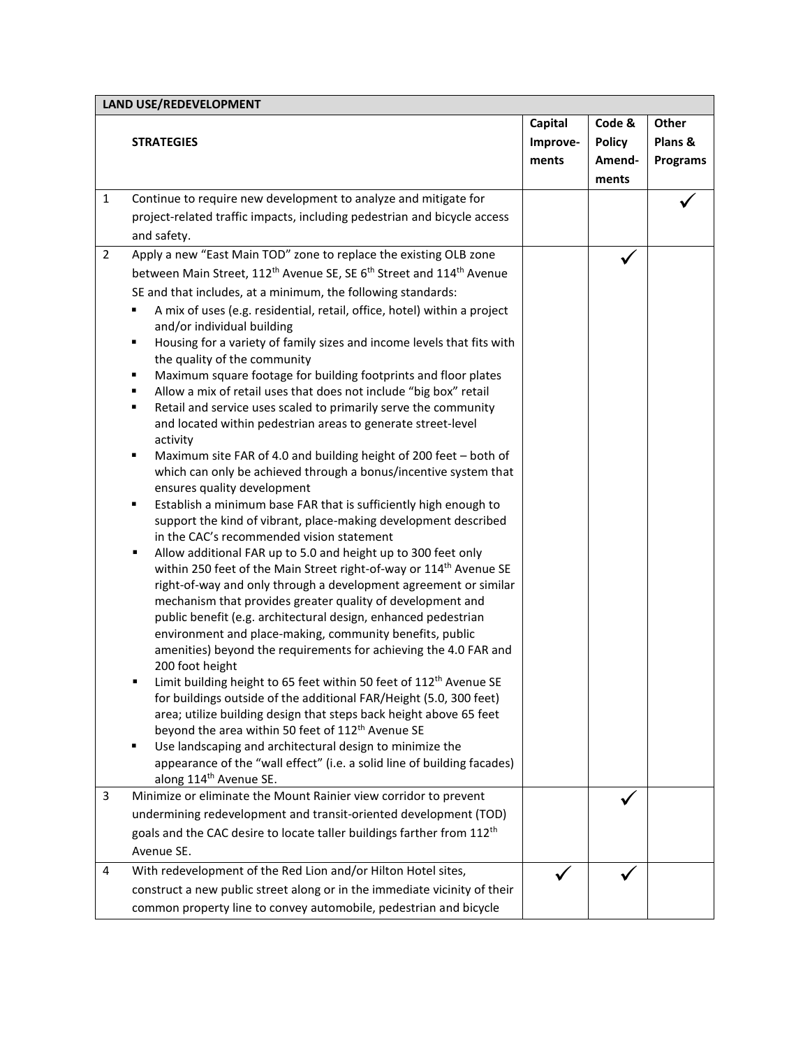| <b>LAND USE/REDEVELOPMENT</b> |                                                                                                                                       |          |               |                 |  |
|-------------------------------|---------------------------------------------------------------------------------------------------------------------------------------|----------|---------------|-----------------|--|
|                               |                                                                                                                                       | Capital  | Code &        | Other           |  |
|                               | <b>STRATEGIES</b>                                                                                                                     | Improve- | <b>Policy</b> | Plans &         |  |
|                               |                                                                                                                                       | ments    | Amend-        | <b>Programs</b> |  |
|                               |                                                                                                                                       |          | ments         |                 |  |
| $\mathbf{1}$                  | Continue to require new development to analyze and mitigate for                                                                       |          |               |                 |  |
|                               | project-related traffic impacts, including pedestrian and bicycle access                                                              |          |               |                 |  |
|                               | and safety.                                                                                                                           |          |               |                 |  |
| $\overline{2}$                | Apply a new "East Main TOD" zone to replace the existing OLB zone                                                                     |          |               |                 |  |
|                               | between Main Street, 112 <sup>th</sup> Avenue SE, SE 6 <sup>th</sup> Street and 114 <sup>th</sup> Avenue                              |          |               |                 |  |
|                               | SE and that includes, at a minimum, the following standards:                                                                          |          |               |                 |  |
|                               | A mix of uses (e.g. residential, retail, office, hotel) within a project                                                              |          |               |                 |  |
|                               | and/or individual building                                                                                                            |          |               |                 |  |
|                               | Housing for a variety of family sizes and income levels that fits with<br>٠                                                           |          |               |                 |  |
|                               | the quality of the community                                                                                                          |          |               |                 |  |
|                               | Maximum square footage for building footprints and floor plates<br>٠                                                                  |          |               |                 |  |
|                               | Allow a mix of retail uses that does not include "big box" retail<br>٠                                                                |          |               |                 |  |
|                               | Retail and service uses scaled to primarily serve the community<br>٠                                                                  |          |               |                 |  |
|                               | and located within pedestrian areas to generate street-level                                                                          |          |               |                 |  |
|                               | activity<br>٠                                                                                                                         |          |               |                 |  |
|                               | Maximum site FAR of 4.0 and building height of 200 feet - both of<br>which can only be achieved through a bonus/incentive system that |          |               |                 |  |
|                               | ensures quality development                                                                                                           |          |               |                 |  |
|                               | Establish a minimum base FAR that is sufficiently high enough to<br>٠                                                                 |          |               |                 |  |
|                               | support the kind of vibrant, place-making development described                                                                       |          |               |                 |  |
|                               | in the CAC's recommended vision statement                                                                                             |          |               |                 |  |
|                               | Allow additional FAR up to 5.0 and height up to 300 feet only<br>٠                                                                    |          |               |                 |  |
|                               | within 250 feet of the Main Street right-of-way or 114 <sup>th</sup> Avenue SE                                                        |          |               |                 |  |
|                               | right-of-way and only through a development agreement or similar                                                                      |          |               |                 |  |
|                               | mechanism that provides greater quality of development and                                                                            |          |               |                 |  |
|                               | public benefit (e.g. architectural design, enhanced pedestrian                                                                        |          |               |                 |  |
|                               | environment and place-making, community benefits, public                                                                              |          |               |                 |  |
|                               | amenities) beyond the requirements for achieving the 4.0 FAR and                                                                      |          |               |                 |  |
|                               | 200 foot height<br>Limit building height to 65 feet within 50 feet of 112 <sup>th</sup> Avenue SE<br>٠                                |          |               |                 |  |
|                               | for buildings outside of the additional FAR/Height (5.0, 300 feet)                                                                    |          |               |                 |  |
|                               | area; utilize building design that steps back height above 65 feet                                                                    |          |               |                 |  |
|                               | beyond the area within 50 feet of 112 <sup>th</sup> Avenue SE                                                                         |          |               |                 |  |
|                               | Use landscaping and architectural design to minimize the<br>٠                                                                         |          |               |                 |  |
|                               | appearance of the "wall effect" (i.e. a solid line of building facades)                                                               |          |               |                 |  |
|                               | along 114 <sup>th</sup> Avenue SE.                                                                                                    |          |               |                 |  |
| 3                             | Minimize or eliminate the Mount Rainier view corridor to prevent                                                                      |          |               |                 |  |
|                               | undermining redevelopment and transit-oriented development (TOD)                                                                      |          |               |                 |  |
|                               | goals and the CAC desire to locate taller buildings farther from 112 <sup>th</sup>                                                    |          |               |                 |  |
|                               | Avenue SE.                                                                                                                            |          |               |                 |  |
| 4                             | With redevelopment of the Red Lion and/or Hilton Hotel sites,                                                                         |          |               |                 |  |
|                               | construct a new public street along or in the immediate vicinity of their                                                             |          |               |                 |  |
|                               | common property line to convey automobile, pedestrian and bicycle                                                                     |          |               |                 |  |